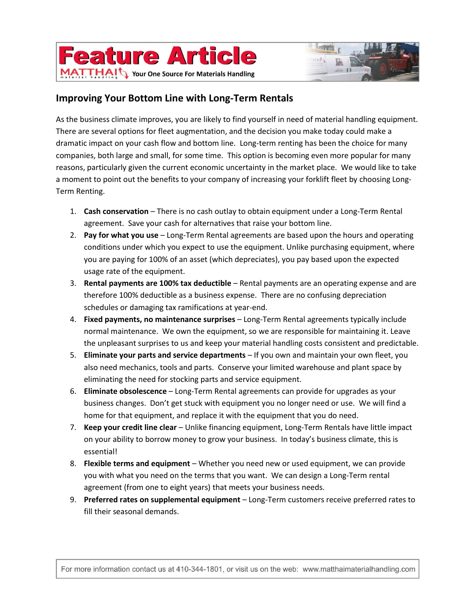



## **Improving Your Bottom Line with Long-Term Rentals**

As the business climate improves, you are likely to find yourself in need of material handling equipment. There are several options for fleet augmentation, and the decision you make today could make a dramatic impact on your cash flow and bottom line. Long-term renting has been the choice for many companies, both large and small, for some time. This option is becoming even more popular for many reasons, particularly given the current economic uncertainty in the market place. We would like to take a moment to point out the benefits to your company of increasing your forklift fleet by choosing Long-Term Renting.

- 1. **Cash conservation** There is no cash outlay to obtain equipment under a Long-Term Rental agreement. Save your cash for alternatives that raise your bottom line.
- 2. **Pay for what you use** Long-Term Rental agreements are based upon the hours and operating conditions under which you expect to use the equipment. Unlike purchasing equipment, where you are paying for 100% of an asset (which depreciates), you pay based upon the expected usage rate of the equipment.
- 3. **Rental payments are 100% tax deductible** Rental payments are an operating expense and are therefore 100% deductible as a business expense. There are no confusing depreciation schedules or damaging tax ramifications at year-end.
- 4. **Fixed payments, no maintenance surprises** Long-Term Rental agreements typically include normal maintenance. We own the equipment, so we are responsible for maintaining it. Leave the unpleasant surprises to us and keep your material handling costs consistent and predictable.
- 5. **Eliminate your parts and service departments** If you own and maintain your own fleet, you also need mechanics, tools and parts. Conserve your limited warehouse and plant space by eliminating the need for stocking parts and service equipment.
- 6. **Eliminate obsolescence**  Long-Term Rental agreements can provide for upgrades as your business changes. Don't get stuck with equipment you no longer need or use. We will find a home for that equipment, and replace it with the equipment that you do need.
- 7. **Keep your credit line clear** Unlike financing equipment, Long-Term Rentals have little impact on your ability to borrow money to grow your business. In today's business climate, this is essential!
- 8. **Flexible terms and equipment** Whether you need new or used equipment, we can provide you with what you need on the terms that you want. We can design a Long-Term rental agreement (from one to eight years) that meets your business needs.
- 9. **Preferred rates on supplemental equipment**  Long-Term customers receive preferred rates to fill their seasonal demands.

For more information contact us at 410-344-1801, or visit us on the web: www.matthaimaterialhandling.com